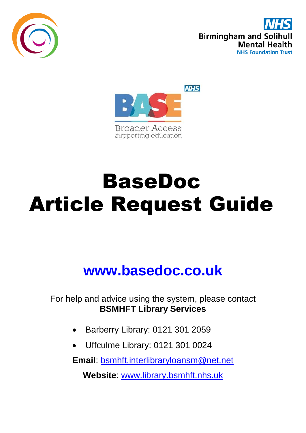





# BaseDoc Article Request Guide

## **www.basedoc.co.uk**

For help and advice using the system, please contact **BSMHFT Library Services**

- Barberry Library: 0121 301 2059
- Uffculme Library: 0121 301 0024

**Email**: [bsmhft.interlibraryloansm@net.net](mailto:bsmhft.interlibraryloansm@net.net)

**Website**: [www.library.bsmhft.nhs.uk](http://www.library.bsmhft.nhs.uk/)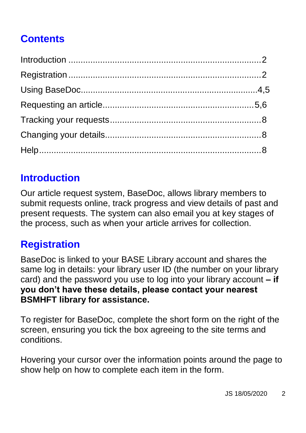### **Contents**

#### <span id="page-1-0"></span>**Introduction**

Our article request system, BaseDoc, allows library members to submit requests online, track progress and view details of past and present requests. The system can also email you at key stages of the process, such as when your article arrives for collection.

#### <span id="page-1-1"></span>**Registration**

BaseDoc is linked to your BASE Library account and shares the same log in details: your library user ID (the number on your library card) and the password you use to log into your library account **– if you don't have these details, please contact your nearest BSMHFT library for assistance.**

To register for BaseDoc, complete the short form on the right of the screen, ensuring you tick the box agreeing to the site terms and conditions.

Hovering your cursor over the information points around the page to show help on how to complete each item in the form.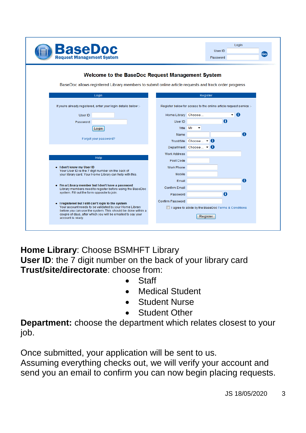

|          | Login |              |
|----------|-------|--------------|
| User ID  |       | $\mathbf{G}$ |
| Password |       |              |
|          |       |              |

#### Welcome to the BaseDoc Request Management System

BaseDoc allows registered Library members to submit online article requests and track order progress

| Login                                                                                                                                           |  |                                                                    | Register               |  |    |           |
|-------------------------------------------------------------------------------------------------------------------------------------------------|--|--------------------------------------------------------------------|------------------------|--|----|-----------|
| If you're already registered, enter your login details below :-                                                                                 |  | Register below for access to the online article request service :- |                        |  |    |           |
| User ID                                                                                                                                         |  | Home Library Choose                                                |                        |  | ۰ı | o         |
| Password                                                                                                                                        |  | User ID                                                            |                        |  | Œ  |           |
| Login                                                                                                                                           |  | Title Mr                                                           |                        |  |    |           |
|                                                                                                                                                 |  | Name                                                               |                        |  |    | $\bullet$ |
| Forgot your password?                                                                                                                           |  |                                                                    | Trust/Site Choose  • 0 |  |    |           |
|                                                                                                                                                 |  |                                                                    | Department Choose  v O |  |    |           |
|                                                                                                                                                 |  | <b>Work Address</b>                                                |                        |  |    |           |
| Help                                                                                                                                            |  | Post Code                                                          |                        |  |    |           |
| • I don't know my User ID                                                                                                                       |  | <b>Work Phone</b>                                                  |                        |  |    |           |
| Your User ID is the 7 digit number on the back of<br>your library card. Your Home Library can help with this.                                   |  | Mobile                                                             |                        |  |    |           |
|                                                                                                                                                 |  | Email                                                              |                        |  |    | $\bullet$ |
| . I'm a Library member but I don't have a password<br>Library members need to register before using the BaseDoc                                 |  | Confirm Email                                                      |                        |  |    |           |
| system. Fill out the form opposite to join.                                                                                                     |  | Password                                                           |                        |  | A  |           |
| • I registered but I still can't login to the system                                                                                            |  | <b>Confirm Password</b>                                            |                        |  |    |           |
| Your account needs to be validated by your Home Library                                                                                         |  | I agree to abide by the BaseDoc Terms & Conditions                 |                        |  |    |           |
| before you can use the system. This should be done within a<br>couple of days, after which you will be emailed to say your<br>account is ready. |  |                                                                    | Register               |  |    |           |
|                                                                                                                                                 |  |                                                                    |                        |  |    |           |

**Home Library**: Choose BSMHFT Library

**User ID**: the 7 digit number on the back of your library card **Trust/site/directorate**: choose from:

- **Staff**
- Medical Student
- Student Nurse
- <span id="page-2-0"></span>Student Other

**Department:** choose the department which relates closest to your job.

Once submitted, your application will be sent to us.

Assuming everything checks out, we will verify your account and send you an email to confirm you can now begin placing requests.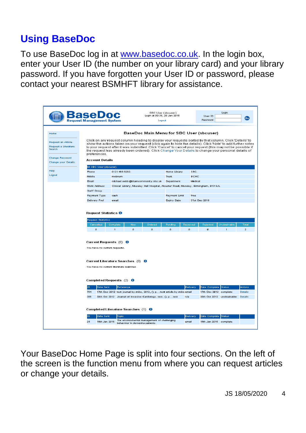#### **Using BaseDoc**

To use BaseDoc log in at [www.basedoc.co.uk.](http://www.basedoc.co.uk/) In the login box, enter your User ID (the number on your library card) and your library password. If you have forgotten your User ID or password, please contact your nearest BSMHFT library for assistance.

|                                                      | seD<br><b>Request Management System</b>                                                                                                                                                                                                                                                                                                                                                                                                    |                            | SBC User (sbouser)<br>Login at 09:38, 29 Jan 2015<br>Logout |                                                                  |                                                                              |                       | Login<br>User ID<br>Go<br>Password                                                   |                                |                         |  |
|------------------------------------------------------|--------------------------------------------------------------------------------------------------------------------------------------------------------------------------------------------------------------------------------------------------------------------------------------------------------------------------------------------------------------------------------------------------------------------------------------------|----------------------------|-------------------------------------------------------------|------------------------------------------------------------------|------------------------------------------------------------------------------|-----------------------|--------------------------------------------------------------------------------------|--------------------------------|-------------------------|--|
| Home                                                 |                                                                                                                                                                                                                                                                                                                                                                                                                                            |                            |                                                             |                                                                  |                                                                              |                       | BaseDoc Main Menu for SBC User (sbcuser)                                             |                                |                         |  |
| Request an Article<br>Request a Literature<br>Search | Click on any request column heading to display your requests sorted by that column. Click 'Details' to<br>show the actions taken on your request (click again to hide the details). Click 'Note' to add further notes<br>to your request after it was submitted. Click 'Cancel' to cancel your request (this may not be possible if<br>the request has already been ordered). Click Change Your Details to change your personal details of |                            |                                                             |                                                                  |                                                                              |                       |                                                                                      |                                |                         |  |
| <b>Change Password</b><br><b>Change your Details</b> | preferences.<br><b>Account Details</b>                                                                                                                                                                                                                                                                                                                                                                                                     |                            |                                                             |                                                                  |                                                                              |                       |                                                                                      |                                |                         |  |
|                                                      | Mr SBC User (sbouser)                                                                                                                                                                                                                                                                                                                                                                                                                      |                            |                                                             |                                                                  |                                                                              |                       |                                                                                      |                                |                         |  |
| Help                                                 | Phone                                                                                                                                                                                                                                                                                                                                                                                                                                      | 0121 466 6283              |                                                             |                                                                  | Home Library                                                                 |                       | <b>SBC</b>                                                                           |                                |                         |  |
| Logout                                               | Mobile                                                                                                                                                                                                                                                                                                                                                                                                                                     | mobnum                     |                                                             |                                                                  | Trust                                                                        |                       | BCHC                                                                                 |                                |                         |  |
|                                                      | <b>Email</b>                                                                                                                                                                                                                                                                                                                                                                                                                               |                            |                                                             | michael.webb@bhamcommunity.nhs.uk                                | <b>Department</b>                                                            |                       | Medical                                                                              |                                |                         |  |
|                                                      | Work Address                                                                                                                                                                                                                                                                                                                                                                                                                               |                            |                                                             |                                                                  |                                                                              |                       | Clinical Library, Moseley Hall Hospital, Alcester Road, Moseley, Birmingham, B13 8JL |                                |                         |  |
|                                                      | Staff Group                                                                                                                                                                                                                                                                                                                                                                                                                                |                            |                                                             |                                                                  |                                                                              |                       |                                                                                      |                                |                         |  |
|                                                      | Payment Type                                                                                                                                                                                                                                                                                                                                                                                                                               | cash                       |                                                             |                                                                  |                                                                              |                       |                                                                                      |                                |                         |  |
|                                                      | Delivery Pref                                                                                                                                                                                                                                                                                                                                                                                                                              | email                      |                                                             |                                                                  | Expiry Date                                                                  | Payment Limit<br>free |                                                                                      | 31st Dec 2016                  |                         |  |
|                                                      |                                                                                                                                                                                                                                                                                                                                                                                                                                            |                            |                                                             |                                                                  |                                                                              |                       |                                                                                      |                                |                         |  |
|                                                      | Cancelled<br>$\mathbf{0}$                                                                                                                                                                                                                                                                                                                                                                                                                  | Complete<br>$\blacksquare$ | New<br>$\mathbf{0}$                                         | Ordered<br>o                                                     | Pending<br>$\mathbf{0}$                                                      | Received<br>o         | Rejected<br>o.                                                                       | Unobtainable<br>$\blacksquare$ | Total<br>$\overline{2}$ |  |
|                                                      |                                                                                                                                                                                                                                                                                                                                                                                                                                            |                            |                                                             |                                                                  |                                                                              |                       |                                                                                      |                                |                         |  |
|                                                      | Current Requests (0) 0<br>You have no current requests.                                                                                                                                                                                                                                                                                                                                                                                    |                            |                                                             |                                                                  |                                                                              |                       |                                                                                      |                                |                         |  |
|                                                      | Current Literature Searches (0) O<br>You have no current literature searches.                                                                                                                                                                                                                                                                                                                                                              |                            |                                                             |                                                                  |                                                                              |                       |                                                                                      |                                |                         |  |
|                                                      |                                                                                                                                                                                                                                                                                                                                                                                                                                            |                            |                                                             |                                                                  |                                                                              |                       |                                                                                      |                                |                         |  |
|                                                      | Completed Requests $(2)$ 0                                                                                                                                                                                                                                                                                                                                                                                                                 |                            |                                                             |                                                                  |                                                                              |                       |                                                                                      |                                |                         |  |
|                                                      | ID.<br>Date Sent                                                                                                                                                                                                                                                                                                                                                                                                                           |                            | Reference                                                   |                                                                  |                                                                              | Delivery              | Date Complete Status                                                                 |                                | Actions                 |  |
|                                                      | 784                                                                                                                                                                                                                                                                                                                                                                                                                                        |                            |                                                             |                                                                  | 17th Dec 2012 test journal by mike, 2012, (), p., test article by mike email |                       | 17th Deo 2012 complete                                                               |                                | Details                 |  |
|                                                      | 388                                                                                                                                                                                                                                                                                                                                                                                                                                        |                            |                                                             | 30th Oct 2012 Journal of Invasive Cardiology, test, Q, p, , test |                                                                              | n/a                   |                                                                                      | 30th Oct 2012 unobtainable     | <b>Details</b>          |  |
|                                                      | Completed Literature Searches (1) O                                                                                                                                                                                                                                                                                                                                                                                                        |                            |                                                             |                                                                  |                                                                              |                       |                                                                                      |                                |                         |  |
|                                                      | <b>Date Sent</b><br>ID.                                                                                                                                                                                                                                                                                                                                                                                                                    | Topic                      |                                                             |                                                                  |                                                                              | Delivery              | Date Complete Status                                                                 |                                |                         |  |
|                                                      | 16th Jan 2016<br>24                                                                                                                                                                                                                                                                                                                                                                                                                        |                            |                                                             | The environmental management of challenging                      |                                                                              | email                 | 16th Jan 2016 complete                                                               |                                |                         |  |
|                                                      |                                                                                                                                                                                                                                                                                                                                                                                                                                            |                            | behaviour in dementia patients                              |                                                                  |                                                                              |                       |                                                                                      |                                |                         |  |

Your BaseDoc Home Page is split into four sections. On the left of the screen is the function menu from where you can request articles or change your details.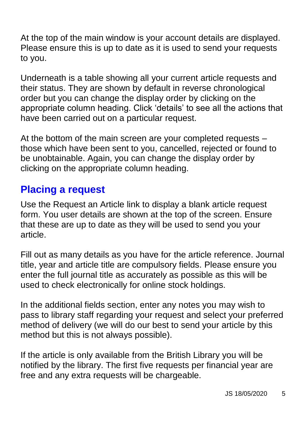At the top of the main window is your account details are displayed. Please ensure this is up to date as it is used to send your requests to you.

Underneath is a table showing all your current article requests and their status. They are shown by default in reverse chronological order but you can change the display order by clicking on the appropriate column heading. Click 'details' to see all the actions that have been carried out on a particular request.

At the bottom of the main screen are your completed requests – those which have been sent to you, cancelled, rejected or found to be unobtainable. Again, you can change the display order by clicking on the appropriate column heading.

#### **Placing a request**

Use the Request an Article link to display a blank article request form. You user details are shown at the top of the screen. Ensure that these are up to date as they will be used to send you your article.

Fill out as many details as you have for the article reference. Journal title, year and article title are compulsory fields. Please ensure you enter the full journal title as accurately as possible as this will be used to check electronically for online stock holdings.

In the additional fields section, enter any notes you may wish to pass to library staff regarding your request and select your preferred method of delivery (we will do our best to send your article by this method but this is not always possible).

If the article is only available from the British Library you will be notified by the library. The first five requests per financial year are free and any extra requests will be chargeable.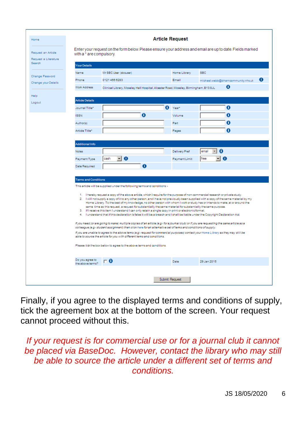| Home                                       | <b>Article Request</b>                                                                                                                                                                                                                                      |                                                                                                                                                                                                                                                                        |                      |                                          |                                        |  |  |  |  |
|--------------------------------------------|-------------------------------------------------------------------------------------------------------------------------------------------------------------------------------------------------------------------------------------------------------------|------------------------------------------------------------------------------------------------------------------------------------------------------------------------------------------------------------------------------------------------------------------------|----------------------|------------------------------------------|----------------------------------------|--|--|--|--|
| Request an Article<br>Request a Literature | Enter your request on the form below. Please ensure your address and email are up to date. Fields marked<br>with a * are compulsory.                                                                                                                        |                                                                                                                                                                                                                                                                        |                      |                                          |                                        |  |  |  |  |
| Search<br><b>Your Details</b>              |                                                                                                                                                                                                                                                             |                                                                                                                                                                                                                                                                        |                      |                                          |                                        |  |  |  |  |
|                                            | Name                                                                                                                                                                                                                                                        | Mr SBC User (sbcuser)                                                                                                                                                                                                                                                  | Home Library         | <b>SBC</b>                               |                                        |  |  |  |  |
| Change Password<br>Change your Details     | Phone                                                                                                                                                                                                                                                       | 01214666283                                                                                                                                                                                                                                                            | Email                |                                          | O<br>michael.webb@bhamcommunity.nhs.uk |  |  |  |  |
|                                            | <b>Work Address</b>                                                                                                                                                                                                                                         | Clinical Library, Moseley Hall Hospital, Alcester Road, Moseley, Birmingham, B13 8JL                                                                                                                                                                                   |                      |                                          | Ô                                      |  |  |  |  |
| Help                                       |                                                                                                                                                                                                                                                             |                                                                                                                                                                                                                                                                        |                      |                                          |                                        |  |  |  |  |
| Logout                                     | <b>Article Details</b>                                                                                                                                                                                                                                      |                                                                                                                                                                                                                                                                        |                      |                                          |                                        |  |  |  |  |
|                                            | Journal Title*                                                                                                                                                                                                                                              |                                                                                                                                                                                                                                                                        | Λ<br>Year            |                                          | 0                                      |  |  |  |  |
|                                            | <b>ISSN</b>                                                                                                                                                                                                                                                 | 0                                                                                                                                                                                                                                                                      | Volume               |                                          | A                                      |  |  |  |  |
|                                            | Author(s)                                                                                                                                                                                                                                                   |                                                                                                                                                                                                                                                                        | Part                 |                                          | A                                      |  |  |  |  |
|                                            | Article Title*                                                                                                                                                                                                                                              |                                                                                                                                                                                                                                                                        | Pages                |                                          | A                                      |  |  |  |  |
|                                            |                                                                                                                                                                                                                                                             |                                                                                                                                                                                                                                                                        |                      |                                          |                                        |  |  |  |  |
|                                            | <b>Additional Info</b>                                                                                                                                                                                                                                      |                                                                                                                                                                                                                                                                        |                      |                                          |                                        |  |  |  |  |
|                                            | <b>Notes</b>                                                                                                                                                                                                                                                |                                                                                                                                                                                                                                                                        | <b>Delivery Pref</b> | $\theta$<br>email<br>$\vert \cdot \vert$ |                                        |  |  |  |  |
|                                            | Payment Type                                                                                                                                                                                                                                                | -10<br>cash                                                                                                                                                                                                                                                            | Payment Limit        | <b>I</b> free                            | -10                                    |  |  |  |  |
|                                            | <b>Date Required</b>                                                                                                                                                                                                                                        | 0                                                                                                                                                                                                                                                                      |                      |                                          |                                        |  |  |  |  |
|                                            |                                                                                                                                                                                                                                                             |                                                                                                                                                                                                                                                                        |                      |                                          |                                        |  |  |  |  |
|                                            | <b>Terms and Conditions</b>                                                                                                                                                                                                                                 |                                                                                                                                                                                                                                                                        |                      |                                          |                                        |  |  |  |  |
|                                            |                                                                                                                                                                                                                                                             | This article will be supplied under the following terms and conditions >                                                                                                                                                                                               |                      |                                          |                                        |  |  |  |  |
|                                            |                                                                                                                                                                                                                                                             | 1. I hereby request a copy of the above article, which I require for the purpose of non-commercial research or private study.<br>2. I will not supply a copy of it to any other person, and I have not previously been supplied with a copy of the same material by my |                      |                                          |                                        |  |  |  |  |
|                                            |                                                                                                                                                                                                                                                             | Home Library. To the best of my knowledge, no other person with whom I work or study has or intends to make, at or around the                                                                                                                                          |                      |                                          |                                        |  |  |  |  |
|                                            |                                                                                                                                                                                                                                                             | same time as this request, a request for substantially the same material for substantially the same purpose.<br>3. If I receive this item I understand I can only retain a single copy in print or electronic format.                                                  |                      |                                          |                                        |  |  |  |  |
|                                            | 4. I understand that if this declaration is false it will be a breach and I shall be liable under the Copyright Declaration Act.                                                                                                                            |                                                                                                                                                                                                                                                                        |                      |                                          |                                        |  |  |  |  |
|                                            | If you need (or are going to make) multiple copies of an article (e.g.: for a journal club) or if you are requesting the same article as a<br>colleague (e.g. student assignment) then click here for an alternative set of terms and conditions of supply. |                                                                                                                                                                                                                                                                        |                      |                                          |                                        |  |  |  |  |
|                                            | If you are unable to agree to the above terms (e.g.: request for commercial purposes) contact your Home Library as they may still be<br>able to source the article for you with different terms and conditions.                                             |                                                                                                                                                                                                                                                                        |                      |                                          |                                        |  |  |  |  |
|                                            | Please tick the box below to agree to the above terms and conditions.                                                                                                                                                                                       |                                                                                                                                                                                                                                                                        |                      |                                          |                                        |  |  |  |  |
|                                            | Do you agree to<br>$\mathbf{\Gamma}$ 0<br>29 Jan 2015<br>Date<br>the above terms?                                                                                                                                                                           |                                                                                                                                                                                                                                                                        |                      |                                          |                                        |  |  |  |  |
|                                            |                                                                                                                                                                                                                                                             |                                                                                                                                                                                                                                                                        |                      |                                          |                                        |  |  |  |  |
|                                            | Submit Request                                                                                                                                                                                                                                              |                                                                                                                                                                                                                                                                        |                      |                                          |                                        |  |  |  |  |

Finally, if you agree to the displayed terms and conditions of supply, tick the agreement box at the bottom of the screen. Your request cannot proceed without this.

*If your request is for commercial use or for a journal club it cannot be placed via BaseDoc. However, contact the library who may still be able to source the article under a different set of terms and conditions.*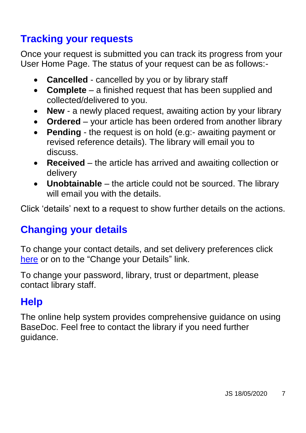#### <span id="page-6-0"></span>**Tracking your requests**

Once your request is submitted you can track its progress from your User Home Page. The status of your request can be as follows:-

- **Cancelled** cancelled by you or by library staff
- **Complete** a finished request that has been supplied and collected/delivered to you.
- **New**  a newly placed request, awaiting action by your library
- **Ordered** your article has been ordered from another library
- **Pending** the request is on hold (e.g:- awaiting payment or revised reference details). The library will email you to discuss.
- **Received** the article has arrived and awaiting collection or delivery
- **Unobtainable** the article could not be sourced. The library will email you with the details.

Click 'details' next to a request to show further details on the actions.

#### <span id="page-6-1"></span>**Changing your details**

To change your contact details, and set delivery preferences click [here](http://www.basedoc.co.uk/cgi-bin/changedetails.cgi) or on to the "Change your Details" link.

To change your password, library, trust or department, please contact library staff.

#### <span id="page-6-2"></span>**Help**

The online help system provides comprehensive guidance on using BaseDoc. Feel free to contact the library if you need further guidance.